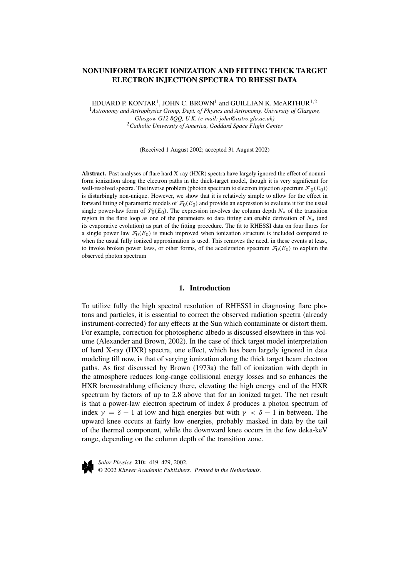# **NONUNIFORM TARGET IONIZATION AND FITTING THICK TARGET ELECTRON INJECTION SPECTRA TO RHESSI DATA**

EDUARD P. KONTAR<sup>1</sup>, JOHN C. BROWN<sup>1</sup> and GUILLIAN K. McARTHUR<sup>1,2</sup>

<sup>1</sup>*Astronomy and Astrophysics Group, Dept. of Physics and Astronomy, University of Glasgow, Glasgow G12 8QQ, U.K. (e-mail: john@astro.gla.ac.uk)* <sup>2</sup>*Catholic University of America, Goddard Space Flight Center*

(Received 1 August 2002; accepted 31 August 2002)

**Abstract.** Past analyses of flare hard X-ray (HXR) spectra have largely ignored the effect of nonuniform ionization along the electron paths in the thick-target model, though it is very significant for well-resolved spectra. The inverse problem (photon spectrum to electron injection spectrum  $\mathcal{F}_0(E_0)$ ) is disturbingly non-unique. However, we show that it is relatively simple to allow for the effect in forward fitting of parametric models of  $\mathcal{F}_0(E_0)$  and provide an expression to evaluate it for the usual single power-law form of  $\mathcal{F}_0(E_0)$ . The expression involves the column depth  $N_*$  of the transition region in the flare loop as one of the parameters so data fitting can enable derivation of *N*<sup>∗</sup> (and its evaporative evolution) as part of the fitting procedure. The fit to RHESSI data on four flares for a single power law  $\mathcal{F}_0(E_0)$  is much improved when ionization structure is included compared to when the usual fully ionized approximation is used. This removes the need, in these events at least, to invoke broken power laws, or other forms, of the acceleration spectrum  $\mathcal{F}_0(E_0)$  to explain the observed photon spectrum

# **1. Introduction**

To utilize fully the high spectral resolution of RHESSI in diagnosing flare photons and particles, it is essential to correct the observed radiation spectra (already instrument-corrected) for any effects at the Sun which contaminate or distort them. For example, correction for photospheric albedo is discussed elsewhere in this volume (Alexander and Brown, 2002). In the case of thick target model interpretation of hard X-ray (HXR) spectra, one effect, which has been largely ignored in data modeling till now, is that of varying ionization along the thick target beam electron paths. As first discussed by Brown (1973a) the fall of ionization with depth in the atmosphere reduces long-range collisional energy losses and so enhances the HXR bremsstrahlung efficiency there, elevating the high energy end of the HXR spectrum by factors of up to 2.8 above that for an ionized target. The net result is that a power-law electron spectrum of index *δ* produces a photon spectrum of index  $\gamma = \delta - 1$  at low and high energies but with  $\gamma < \delta - 1$  in between. The upward knee occurs at fairly low energies, probably masked in data by the tail of the thermal component, while the downward knee occurs in the few deka-keV range, depending on the column depth of the transition zone.



*Solar Physics* **210:** 419–429, 2002. © 2002 *Kluwer Academic Publishers. Printed in the Netherlands.*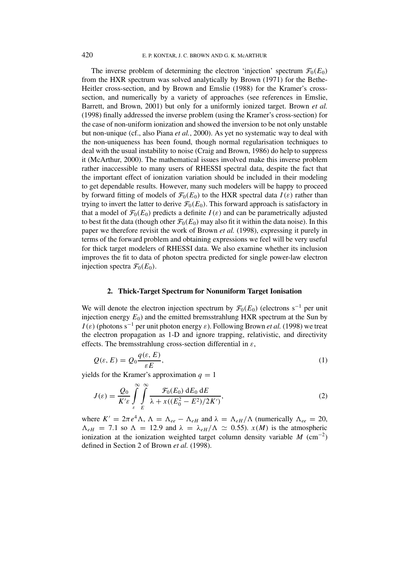The inverse problem of determining the electron 'injection' spectrum  $\mathcal{F}_0(E_0)$ from the HXR spectrum was solved analytically by Brown (1971) for the Bethe-Heitler cross-section, and by Brown and Emslie (1988) for the Kramer's crosssection, and numerically by a variety of approaches (see references in Emslie, Barrett, and Brown, 2001) but only for a uniformly ionized target. Brown *et al.* (1998) finally addressed the inverse problem (using the Kramer's cross-section) for the case of non-uniform ionization and showed the inversion to be not only unstable but non-unique (cf., also Piana *et al.*, 2000). As yet no systematic way to deal with the non-uniqueness has been found, though normal regularisation techniques to deal with the usual instability to noise (Craig and Brown, 1986) do help to suppress it (McArthur, 2000). The mathematical issues involved make this inverse problem rather inaccessible to many users of RHESSI spectral data, despite the fact that the important effect of ionization variation should be included in their modeling to get dependable results. However, many such modelers will be happy to proceed by forward fitting of models of  $\mathcal{F}_0(E_0)$  to the HXR spectral data  $I(\varepsilon)$  rather than trying to invert the latter to derive  $\mathcal{F}_0(E_0)$ . This forward approach is satisfactory in that a model of  $\mathcal{F}_0(E_0)$  predicts a definite  $I(\varepsilon)$  and can be parametrically adjusted to best fit the data (though other  $\mathcal{F}_0(E_0)$  may also fit it within the data noise). In this paper we therefore revisit the work of Brown *et al.* (1998), expressing it purely in terms of the forward problem and obtaining expressions we feel will be very useful for thick target modelers of RHESSI data. We also examine whether its inclusion improves the fit to data of photon spectra predicted for single power-law electron injection spectra  $\mathcal{F}_0(E_0)$ .

### **2. Thick-Target Spectrum for Nonuniform Target Ionisation**

We will denote the electron injection spectrum by  $\mathcal{F}_0(E_0)$  (electrons s<sup>-1</sup> per unit injection energy  $E_0$ ) and the emitted bremsstrahlung HXR spectrum at the Sun by *I*( $\varepsilon$ ) (photons s<sup>-1</sup> per unit photon energy  $\varepsilon$ ). Following Brown *et al.* (1998) we treat the electron propagation as 1-D and ignore trapping, relativistic, and directivity effects. The bremsstrahlung cross-section differential in *ε*,

$$
Q(\varepsilon, E) = Q_0 \frac{q(\varepsilon, E)}{\varepsilon E},\tag{1}
$$

vields for the Kramer's approximation  $q = 1$ 

$$
J(\varepsilon) = \frac{Q_0}{K'\varepsilon} \int_{\varepsilon}^{\infty} \int_{E}^{\infty} \frac{\mathcal{F}_0(E_0) \, dE_0 \, dE}{\lambda + x((E_0^2 - E^2)/2K')} \tag{2}
$$

where  $K' = 2\pi e^4 \Lambda$ ,  $\Lambda = \Lambda_{ee} - \Lambda_{eH}$  and  $\lambda = \Lambda_{eH}/\Lambda$  (numerically  $\Lambda_{ee} = 20$ ,  $\Lambda_{eH}$  = 7.1 so  $\Lambda$  = 12.9 and  $\lambda = \lambda_{eH}/\Lambda \simeq 0.55$ ). *x(M)* is the atmospheric ionization at the ionization weighted target column density variable *M* (cm<sup>-2</sup>) defined in Section 2 of Brown *et al.* (1998).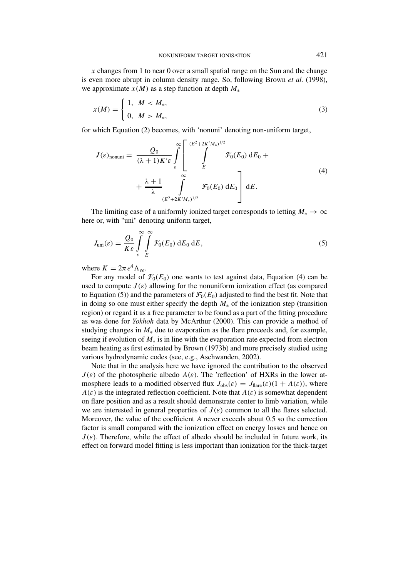*x* changes from 1 to near 0 over a small spatial range on the Sun and the change is even more abrupt in column density range. So, following Brown *et al.* (1998), we approximate  $x(M)$  as a step function at depth  $M_*$ 

$$
x(M) = \begin{cases} 1, & M < M_*, \\ 0, & M > M_*, \end{cases}
$$
 (3)

for which Equation (2) becomes, with 'nonuni' denoting non-uniform target,

$$
J(\varepsilon)_{\text{nonuni}} = \frac{Q_0}{(\lambda+1)K'\varepsilon} \int_{\varepsilon}^{\infty} \left[ \int_{E}^{(E^2+2K'M_*)^{1/2}} \mathcal{F}_0(E_0) \, dE_0 + \frac{\lambda+1}{\lambda} \int_{(E^2+2K'M_*)^{1/2}}^{\infty} \mathcal{F}_0(E_0) \, dE_0 \right] dE.
$$
 (4)

The limiting case of a uniformly ionized target corresponds to letting  $M_* \to \infty$ here or, with "uni" denoting uniform target,

$$
J_{\text{uni}}(\varepsilon) = \frac{Q_0}{K\varepsilon} \int_{\varepsilon}^{\infty} \int_{E}^{\infty} \mathcal{F}_0(E_0) \, dE_0 \, dE,\tag{5}
$$

where  $K = 2\pi e^4 \Lambda_{ee}$ .

For any model of  $\mathcal{F}_0(E_0)$  one wants to test against data, Equation (4) can be used to compute  $J(\varepsilon)$  allowing for the nonuniform ionization effect (as compared to Equation (5)) and the parameters of  $\mathcal{F}_0(E_0)$  adjusted to find the best fit. Note that in doing so one must either specify the depth *M*<sup>∗</sup> of the ionization step (transition region) or regard it as a free parameter to be found as a part of the fitting procedure as was done for *Yokhoh* data by McArthur (2000). This can provide a method of studying changes in  $M_*$  due to evaporation as the flare proceeds and, for example, seeing if evolution of *M*<sup>∗</sup> is in line with the evaporation rate expected from electron beam heating as first estimated by Brown (1973b) and more precisely studied using various hydrodynamic codes (see, e.g., Aschwanden, 2002).

Note that in the analysis here we have ignored the contribution to the observed  $J(\varepsilon)$  of the photospheric albedo  $A(\varepsilon)$ . The 'reflection' of HXRs in the lower atmosphere leads to a modified observed flux  $J_{obs}(\varepsilon) = J_{flare}(\varepsilon)(1 + A(\varepsilon))$ , where *A(ε)* is the integrated reflection coefficient. Note that  $A(\varepsilon)$  is somewhat dependent on flare position and as a result should demonstrate center to limb variation, while we are interested in general properties of  $J(\varepsilon)$  common to all the flares selected. Moreover, the value of the coefficient *A* never exceeds about 0.5 so the correction factor is small compared with the ionization effect on energy losses and hence on  $J(\varepsilon)$ . Therefore, while the effect of albedo should be included in future work, its effect on forward model fitting is less important than ionization for the thick-target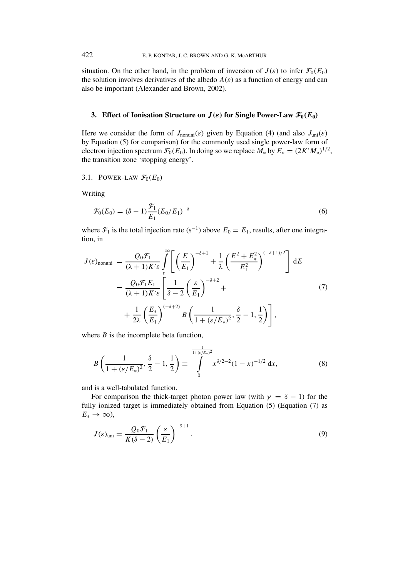situation. On the other hand, in the problem of inversion of  $J(\varepsilon)$  to infer  $\mathcal{F}_0(E_0)$ the solution involves derivatives of the albedo  $A(\varepsilon)$  as a function of energy and can also be important (Alexander and Brown, 2002).

# **3.** Effect of Ionisation Structure on  $J(\varepsilon)$  for Single Power-Law  $\mathcal{F}_0(E_0)$

Here we consider the form of  $J_{\text{nonuni}}(\varepsilon)$  given by Equation (4) (and also  $J_{\text{uni}}(\varepsilon)$ by Equation (5) for comparison) for the commonly used single power-law form of electron injection spectrum  $\mathcal{F}_0(E_0)$ . In doing so we replace  $M_*$  by  $E_* = (2K'M_*)^{1/2}$ , the transition zone 'stopping energy'.

3.1. POWER-LAW  $\mathcal{F}_0(E_0)$ 

Writing

$$
\mathcal{F}_0(E_0) = (\delta - 1) \frac{\mathcal{F}_1}{E_1} (E_0 / E_1)^{-\delta} \tag{6}
$$

where  $\mathcal{F}_1$  is the total injection rate (s<sup>-1</sup>) above  $E_0 = E_1$ , results, after one integration, in

$$
J(\varepsilon)_{\text{nonuni}} = \frac{Q_0 \mathcal{F}_1}{(\lambda + 1)K'\varepsilon} \int_{\varepsilon}^{\infty} \left[ \left( \frac{E}{E_1} \right)^{-\delta + 1} + \frac{1}{\lambda} \left( \frac{E^2 + E_*^2}{E_1^2} \right)^{(-\delta + 1)/2} \right] dE
$$
  
= 
$$
\frac{Q_0 \mathcal{F}_1 E_1}{(\lambda + 1)K'\varepsilon} \left[ \frac{1}{\delta - 2} \left( \frac{\varepsilon}{E_1} \right)^{-\delta + 2} + \frac{1}{2\lambda} \left( \frac{E_*}{E_1} \right)^{(-\delta + 2)} B \left( \frac{1}{1 + (\varepsilon/E_*)^2}, \frac{\delta}{2} - 1, \frac{1}{2} \right) \right],
$$
 (7)

where  $B$  is the incomplete beta function,

$$
B\left(\frac{1}{1 + (\varepsilon/E_*)^2}, \frac{\delta}{2} - 1, \frac{1}{2}\right) \equiv \int_{0}^{\frac{1}{1 + (\varepsilon/E_*)^2}} x^{\delta/2 - 2} (1 - x)^{-1/2} dx,
$$
 (8)

and is a well-tabulated function.

For comparison the thick-target photon power law (with  $\gamma = \delta - 1$ ) for the fully ionized target is immediately obtained from Equation (5) (Equation (7) as  $E_* \to \infty$ ),

$$
J(\varepsilon)_{\text{uni}} = \frac{Q_0 \mathcal{F}_1}{K(\delta - 2)} \left(\frac{\varepsilon}{E_1}\right)^{-\delta + 1}.
$$
 (9)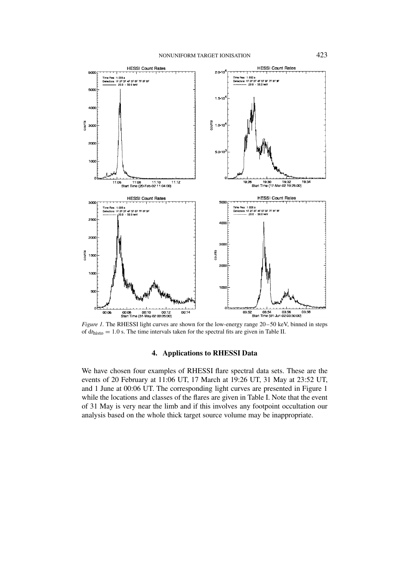

*Figure 1.* The RHESSI light curves are shown for the low-energy range 20–50 keV, binned in steps of  $dt<sub>histo</sub> = 1.0$  s. The time intervals taken for the spectral fits are given in Table II.

## **4. Applications to RHESSI Data**

We have chosen four examples of RHESSI flare spectral data sets. These are the events of 20 February at 11:06 UT, 17 March at 19:26 UT, 31 May at 23:52 UT, and 1 June at 00:06 UT. The corresponding light curves are presented in Figure 1 while the locations and classes of the flares are given in Table I. Note that the event of 31 May is very near the limb and if this involves any footpoint occultation our analysis based on the whole thick target source volume may be inappropriate.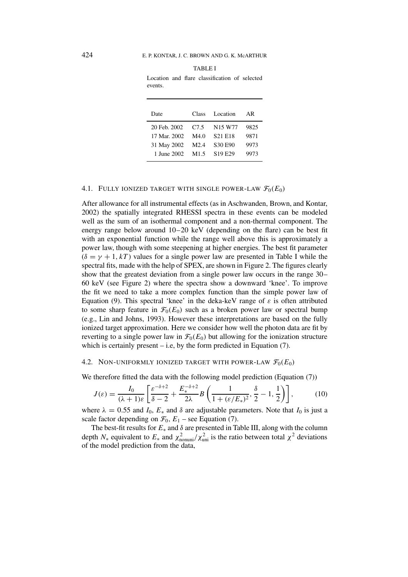| Date         | Class            | Location                        | AR   |
|--------------|------------------|---------------------------------|------|
| 20 Feb. 2002 | C <sub>7.5</sub> | N <sub>15</sub> W <sub>77</sub> | 9825 |
| 17 Mar. 2002 | M4.0             | S <sub>21</sub> E <sub>18</sub> | 9871 |
| 31 May 2002  | M2.4             | S <sub>30</sub> E <sub>90</sub> | 9973 |
| 1 June 2002  | M1.5             | S <sub>19</sub> E <sub>29</sub> | 9973 |
|              |                  |                                 |      |

# TABLE I

Location and flare classification of selected events.

# 4.1. FULLY IONIZED TARGET WITH SINGLE POWER-LAW  $\mathcal{F}_0(E_0)$

After allowance for all instrumental effects (as in Aschwanden, Brown, and Kontar, 2002) the spatially integrated RHESSI spectra in these events can be modeled well as the sum of an isothermal component and a non-thermal component. The energy range below around 10–20 keV (depending on the flare) can be best fit with an exponential function while the range well above this is approximately a power law, though with some steepening at higher energies. The best fit parameter  $(\delta = \gamma + 1, kT)$  values for a single power law are presented in Table I while the spectral fits, made with the help of SPEX, are shown in Figure 2. The figures clearly show that the greatest deviation from a single power law occurs in the range 30– 60 keV (see Figure 2) where the spectra show a downward 'knee'. To improve the fit we need to take a more complex function than the simple power law of Equation (9). This spectral 'knee' in the deka-keV range of *ε* is often attributed to some sharp feature in  $\mathcal{F}_0(E_0)$  such as a broken power law or spectral bump (e.g., Lin and Johns, 1993). However these interpretations are based on the fully ionized target approximation. Here we consider how well the photon data are fit by reverting to a single power law in  $\mathcal{F}_0(E_0)$  but allowing for the ionization structure which is certainly present  $-$  i.e, by the form predicted in Equation  $(7)$ .

#### 4.2. NON-UNIFORMLY IONIZED TARGET WITH POWER-LAW  $\mathcal{F}_0(E_0)$

We therefore fitted the data with the following model prediction (Equation (7))

$$
J(\varepsilon) = \frac{I_0}{(\lambda + 1)\varepsilon} \left[ \frac{\varepsilon^{-\delta + 2}}{\delta - 2} + \frac{E_*^{-\delta + 2}}{2\lambda} B \left( \frac{1}{1 + (\varepsilon/E_*)^2}, \frac{\delta}{2} - 1, \frac{1}{2} \right) \right],\tag{10}
$$

where  $\lambda = 0.55$  and  $I_0$ ,  $E_*$  and  $\delta$  are adjustable parameters. Note that  $I_0$  is just a scale factor depending on  $\mathcal{F}_0$ ,  $E_1$  – see Equation (7).

The best-fit results for  $E_*$  and  $\delta$  are presented in Table III, along with the column depth *N*<sup>\*</sup> equivalent to  $E^*$  and  $\chi^2_{\text{nonuni}}/\chi^2_{\text{uni}}$  is the ratio between total  $\chi^2$  deviations of the model prediction from the data,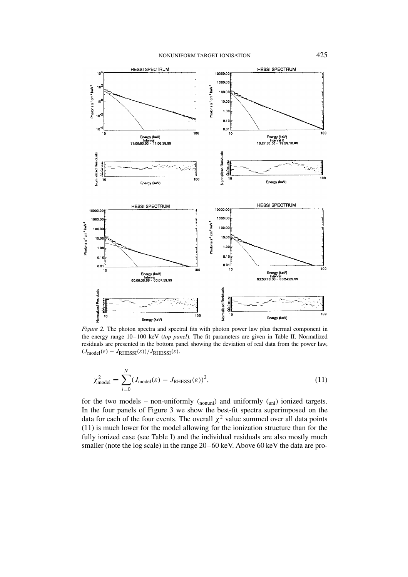#### NONUNIFORM TARGET IONISATION 425



*Figure 2.* The photon spectra and spectral fits with photon power law plus thermal component in the energy range 10–100 keV (*top panel*). The fit parameters are given in Table II. Normalized residuals are presented in the bottom panel showing the deviation of real data from the power law,  $(J_{\text{model}}(\varepsilon) - J_{\text{RHESSI}}(\varepsilon))/J_{\text{RHESSI}}(\varepsilon).$ 

$$
\chi_{\text{model}}^2 = \sum_{i=0}^{N} (J_{\text{model}}(\varepsilon) - J_{\text{RHESSI}}(\varepsilon))^2,
$$
\n(11)

for the two models – non-uniformly  $({_{\text{nonuni}}})$  and uniformly  $({_{\text{uni}}})$  ionized targets. In the four panels of Figure 3 we show the best-fit spectra superimposed on the data for each of the four events. The overall  $\chi^2$  value summed over all data points (11) is much lower for the model allowing for the ionization structure than for the fully ionized case (see Table I) and the individual residuals are also mostly much smaller (note the log scale) in the range 20–60 keV. Above 60 keV the data are pro-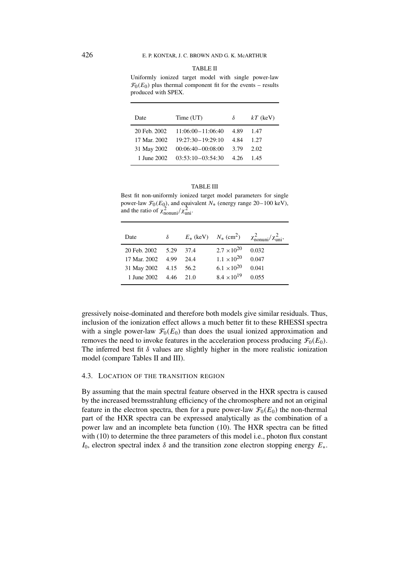Uniformly ionized target model with single power-law  $\mathcal{F}_0(E_0)$  plus thermal component fit for the events – results produced with SPEX.

| Date          | Time (UT)           | δ    | $kT$ (keV) |
|---------------|---------------------|------|------------|
| 20 Feb. 2002  | $11:06:00-11:06:40$ | 4.89 | 1.47       |
| 17 Mar. 2002. | $19:27:30-19:29:10$ | 4.84 | 1.27       |
| 31 May 2002   | $00:06:40-00:08:00$ | 3.79 | 2.02       |
| 1 June 2002   | $03:53:10-03:54:30$ | 4.26 | 145        |
|               |                     |      |            |

#### TABLE III

Best fit non-uniformly ionized target model parameters for single power-law  $\mathcal{F}_0(E_0)$ , and equivalent  $N_*$  (energy range 20–100 keV), and the ratio of  $\chi^2_{\text{nonuni}}/\chi^2_{\text{uni}}$ .

| Date              | $\delta$ |        | $E_*$ (keV) $N_*$ (cm <sup>2</sup> ) | $\chi^2_{\text{nonuni}}/\chi^2_{\text{uni}},$ |
|-------------------|----------|--------|--------------------------------------|-----------------------------------------------|
| 20 Feb. 2002 5.29 |          | 374    | $2.7 \times 10^{20}$                 | 0.032                                         |
| 17 Mar. 2002 4.99 |          | 24.4   | $1.1 \times 10^{20}$                 | 0.047                                         |
| 31 May 2002 4.15  |          | 56.2   | $6.1 \times 10^{20}$                 | 0.041                                         |
| 1 June 2002       | 4.46     | $-210$ | $8.4 \times 10^{19}$                 | 0.055                                         |
|                   |          |        |                                      |                                               |

gressively noise-dominated and therefore both models give similar residuals. Thus, inclusion of the ionization effect allows a much better fit to these RHESSI spectra with a single power-law  $\mathcal{F}_0(E_0)$  than does the usual ionized approximation and removes the need to invoke features in the acceleration process producing  $\mathcal{F}_0(E_0)$ . The inferred best fit  $\delta$  values are slightly higher in the more realistic ionization model (compare Tables II and III).

# 4.3. LOCATION OF THE TRANSITION REGION

By assuming that the main spectral feature observed in the HXR spectra is caused by the increased bremsstrahlung efficiency of the chromosphere and not an original feature in the electron spectra, then for a pure power-law  $\mathcal{F}_0(E_0)$  the non-thermal part of the HXR spectra can be expressed analytically as the combination of a power law and an incomplete beta function (10). The HXR spectra can be fitted with (10) to determine the three parameters of this model i.e., photon flux constant *I*0, electron spectral index *δ* and the transition zone electron stopping energy *E*∗.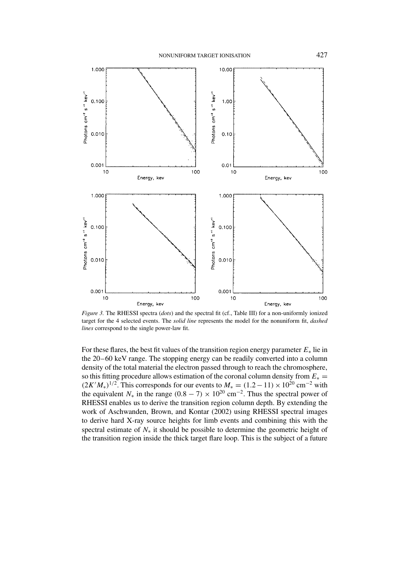

*Figure 3.* The RHESSI spectra (*dots*) and the spectral fit (cf., Table III) for a non-uniformly ionized target for the 4 selected events. The *solid line* represents the model for the nonuniform fit, *dashed lines* correspond to the single power-law fit.

For these flares, the best fit values of the transition region energy parameter *E*<sup>∗</sup> lie in the 20–60 keV range. The stopping energy can be readily converted into a column density of the total material the electron passed through to reach the chromosphere, so this fitting procedure allows estimation of the coronal column density from  $E_* =$  $(2K'M_*)^{1/2}$ . This corresponds for our events to  $M_* = (1.2-11) \times 10^{20}$  cm<sup>-2</sup> with the equivalent  $N_*$  in the range  $(0.8 - 7) \times 10^{20}$  cm<sup>-2</sup>. Thus the spectral power of RHESSI enables us to derive the transition region column depth. By extending the work of Aschwanden, Brown, and Kontar (2002) using RHESSI spectral images to derive hard X-ray source heights for limb events and combining this with the spectral estimate of *N*<sup>∗</sup> it should be possible to determine the geometric height of the transition region inside the thick target flare loop. This is the subject of a future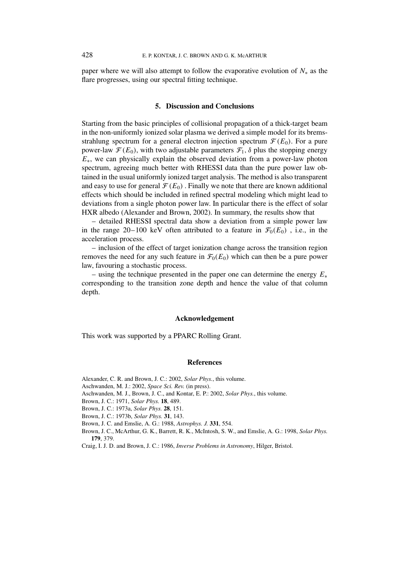paper where we will also attempt to follow the evaporative evolution of *N*<sup>∗</sup> as the flare progresses, using our spectral fitting technique.

#### **5. Discussion and Conclusions**

Starting from the basic principles of collisional propagation of a thick-target beam in the non-uniformly ionized solar plasma we derived a simple model for its bremsstrahlung spectrum for a general electron injection spectrum  $\mathcal{F}(E_0)$ . For a pure power-law  $\mathcal{F}(E_0)$ , with two adjustable parameters  $\mathcal{F}_1$ ,  $\delta$  plus the stopping energy *E*<sup>∗</sup>, we can physically explain the observed deviation from a power-law photon spectrum, agreeing much better with RHESSI data than the pure power law obtained in the usual uniformly ionized target analysis. The method is also transparent and easy to use for general  $\mathcal{F}(E_0)$ . Finally we note that there are known additional effects which should be included in refined spectral modeling which might lead to deviations from a single photon power law. In particular there is the effect of solar HXR albedo (Alexander and Brown, 2002). In summary, the results show that

– detailed RHESSI spectral data show a deviation from a simple power law in the range 20–100 keV often attributed to a feature in  $\mathcal{F}_0(E_0)$ , i.e., in the acceleration process.

– inclusion of the effect of target ionization change across the transition region removes the need for any such feature in  $\mathcal{F}_0(E_0)$  which can then be a pure power law, favouring a stochastic process.

– using the technique presented in the paper one can determine the energy *E*<sup>∗</sup> corresponding to the transition zone depth and hence the value of that column depth.

#### **Acknowledgement**

This work was supported by a PPARC Rolling Grant.

#### **References**

Alexander, C. R. and Brown, J. C.: 2002, *Solar Phys.*, this volume.

Aschwanden, M. J.: 2002, *Space Sci. Rev.* (in press).

Aschwanden, M. J., Brown, J. C., and Kontar, E. P.: 2002, *Solar Phys.*, this volume.

Brown, J. C.: 1971, *Solar Phys.* **18**, 489.

Brown, J. C.: 1973a, *Solar Phys.* **28**, 151.

Brown, J. C.: 1973b, *Solar Phys.* **31**, 143.

Brown, J. C. and Emslie, A. G.: 1988, *Astrophys. J.* **331**, 554.

Brown, J. C., McArthur, G. K., Barrett, R. K., McIntosh, S. W., and Emslie, A. G.: 1998, *Solar Phys.* **179**, 379.

Craig, I. J. D. and Brown, J. C.: 1986, *Inverse Problems in Astronomy*, Hilger, Bristol.